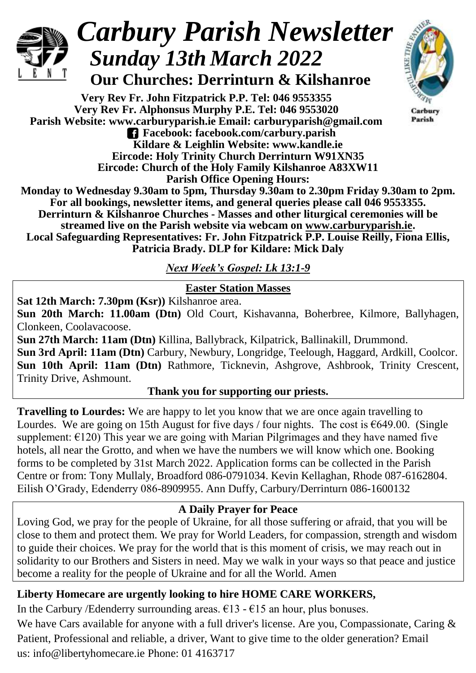

# *Carbury Parish Newsletter Sunday 13th March 2022*

 **Our Churches: Derrinturn & Kilshanroe**

**Very Rev Fr. John Fitzpatrick P.P. Tel: 046 9553355 Very Rev Fr. Alphonsus Murphy P.E. Tel: 046 9553020 Parish Website: www.carburyparish.ie Email: carburyparish@gmail.com Facebook: facebook.com/carbury.parish Kildare & Leighlin Website: www.kandle.ie Eircode: Holy Trinity Church Derrinturn W91XN35 Eircode: Church of the Holy Family Kilshanroe A83XW11**



Carbury Parish

**Parish Office Opening Hours: Monday to Wednesday 9.30am to 5pm, Thursday 9.30am to 2.30pm Friday 9.30am to 2pm. For all bookings, newsletter items, and general queries please call 046 9553355. Derrinturn & Kilshanroe Churches - Masses and other liturgical ceremonies will be streamed live on the Parish website via webcam on [www.carburyparish.ie.](http://www.carburyparish.ie/) Local Safeguarding Representatives: Fr. John Fitzpatrick P.P. Louise Reilly, Fiona Ellis, Patricia Brady. DLP for Kildare: Mick Daly**

*Next Week's Gospel: Lk 13:1-9*

#### **Easter Station Masses**

**Sat 12th March: 7.30pm (Ksr))** Kilshanroe area.

**Sun 20th March: 11.00am (Dtn)** Old Court, Kishavanna, Boherbree, Kilmore, Ballyhagen, Clonkeen, Coolavacoose.

**Sun 27th March: 11am (Dtn)** Killina, Ballybrack, Kilpatrick, Ballinakill, Drummond. **Sun 3rd April: 11am (Dtn)** Carbury, Newbury, Longridge, Teelough, Haggard, Ardkill, Coolcor. **Sun 10th April: 11am (Dtn)** Rathmore, Ticknevin, Ashgrove, Ashbrook, Trinity Crescent, Trinity Drive, Ashmount.

### **Thank you for supporting our priests.**

**Travelling to Lourdes:** We are happy to let you know that we are once again travelling to Lourdes. We are going on 15th August for five days / four nights. The cost is  $\epsilon$ 649.00. (Single supplement:  $\epsilon$ 120) This year we are going with Marian Pilgrimages and they have named five hotels, all near the Grotto, and when we have the numbers we will know which one. Booking forms to be completed by 31st March 2022. Application forms can be collected in the Parish Centre or from: Tony Mullaly, Broadford 086-0791034. Kevin Kellaghan, Rhode 087-6162804. Eilish O'Grady, Edenderry 086-8909955. Ann Duffy, Carbury/Derrinturn 086-1600132

### **A Daily Prayer for Peace**

Loving God, we pray for the people of Ukraine, for all those suffering or afraid, that you will be close to them and protect them. We pray for World Leaders, for compassion, strength and wisdom to guide their choices. We pray for the world that is this moment of crisis, we may reach out in solidarity to our Brothers and Sisters in need. May we walk in your ways so that peace and justice become a reality for the people of Ukraine and for all the World. Amen

## **Liberty Homecare are urgently looking to hire HOME CARE WORKERS,**

In the Carbury /Edenderry surrounding areas.  $\epsilon$ 13 -  $\epsilon$ 15 an hour, plus bonuses.

We have Cars available for anyone with a full driver's license. Are you, Compassionate, Caring & Patient, Professional and reliable, a driver, Want to give time to the older generation? Email us: [info@libertyhomecare.ie](mailto:info@libertyhomecare.ie) Phone: 01 4163717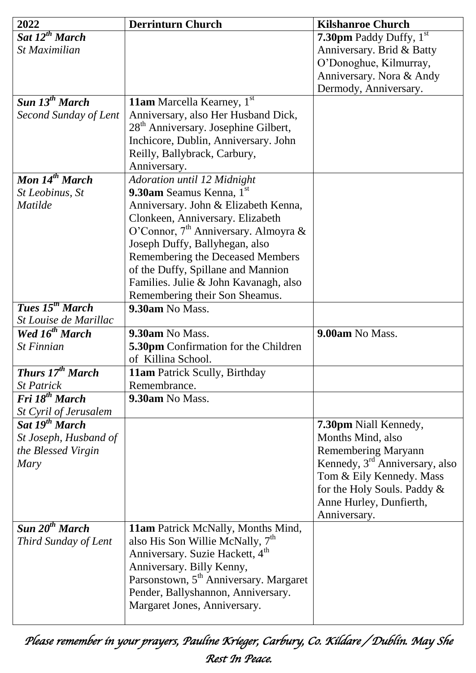| 2022                               | <b>Derrinturn Church</b>                           | <b>Kilshanroe Church</b>                   |
|------------------------------------|----------------------------------------------------|--------------------------------------------|
| Sat 12 <sup>th</sup> March         |                                                    | <b>7.30pm</b> Paddy Duffy, $1^{st}$        |
| St Maximilian                      |                                                    | Anniversary. Brid & Batty                  |
|                                    |                                                    | O'Donoghue, Kilmurray,                     |
|                                    |                                                    | Anniversary. Nora & Andy                   |
|                                    |                                                    | Dermody, Anniversary.                      |
| Sun 13 <sup>th</sup> March         | 11am Marcella Kearney, 1st                         |                                            |
| Second Sunday of Lent              | Anniversary, also Her Husband Dick,                |                                            |
|                                    | 28 <sup>th</sup> Anniversary. Josephine Gilbert,   |                                            |
|                                    | Inchicore, Dublin, Anniversary. John               |                                            |
|                                    | Reilly, Ballybrack, Carbury,                       |                                            |
|                                    | Anniversary.                                       |                                            |
| Mon 14 <sup>th</sup> March         | Adoration until 12 Midnight                        |                                            |
| St Leobinus, St                    | 9.30am Seamus Kenna, 1st                           |                                            |
| <b>Matilde</b>                     | Anniversary. John & Elizabeth Kenna,               |                                            |
|                                    | Clonkeen, Anniversary. Elizabeth                   |                                            |
|                                    | O'Connor, 7 <sup>th</sup> Anniversary. Almoyra &   |                                            |
|                                    | Joseph Duffy, Ballyhegan, also                     |                                            |
|                                    | Remembering the Deceased Members                   |                                            |
|                                    | of the Duffy, Spillane and Mannion                 |                                            |
|                                    | Families. Julie & John Kavanagh, also              |                                            |
|                                    | Remembering their Son Sheamus.                     |                                            |
| <b>Tues</b> $15^{th}$ <b>March</b> | 9.30am No Mass.                                    |                                            |
| St Louise de Marillac              |                                                    |                                            |
| Wed 16 <sup>th</sup> March         | 9.30am No Mass.                                    | 9.00am No Mass.                            |
| <b>St Finnian</b>                  | 5.30pm Confirmation for the Children               |                                            |
|                                    | of Killina School.                                 |                                            |
| <b>Thurs 17th March</b>            | 11am Patrick Scully, Birthday                      |                                            |
| <b>St Patrick</b>                  | Remembrance.                                       |                                            |
| Fri 18 <sup>th</sup> March         | 9.30am No Mass.                                    |                                            |
| <b>St Cyril of Jerusalem</b>       |                                                    |                                            |
| Sat 19 <sup>th</sup> March         |                                                    | 7.30pm Niall Kennedy,                      |
| St Joseph, Husband of              |                                                    | Months Mind, also                          |
| the Blessed Virgin                 |                                                    | <b>Remembering Maryann</b>                 |
| Mary                               |                                                    | Kennedy, 3 <sup>rd</sup> Anniversary, also |
|                                    |                                                    | Tom & Eily Kennedy. Mass                   |
|                                    |                                                    | for the Holy Souls. Paddy &                |
|                                    |                                                    | Anne Hurley, Dunfierth,                    |
|                                    |                                                    | Anniversary.                               |
| Sun $20^{th}$ March                | 11am Patrick McNally, Months Mind,                 |                                            |
| Third Sunday of Lent               | also His Son Willie McNally, 7 <sup>th</sup>       |                                            |
|                                    | Anniversary. Suzie Hackett, 4 <sup>th</sup>        |                                            |
|                                    | Anniversary. Billy Kenny,                          |                                            |
|                                    | Parsonstown, 5 <sup>th</sup> Anniversary. Margaret |                                            |
|                                    | Pender, Ballyshannon, Anniversary.                 |                                            |
|                                    | Margaret Jones, Anniversary.                       |                                            |
|                                    |                                                    |                                            |

*Please remember in your prayers, Pauline Krieger, Carbury, Co. Kildare / Dublin. May She Rest In Peace.*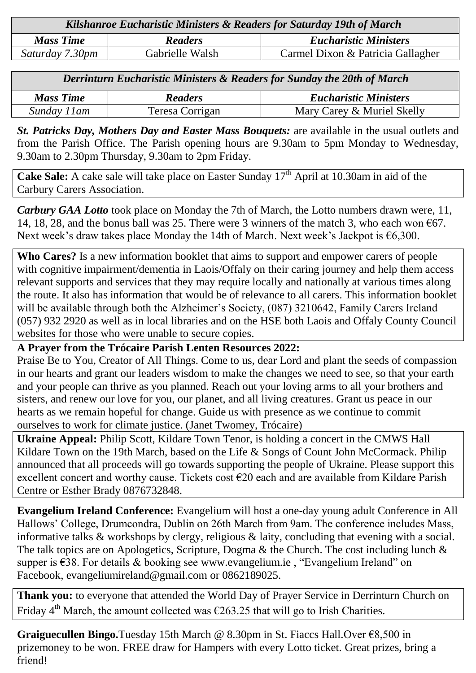| Kilshanroe Eucharistic Ministers & Readers for Saturday 19th of March |                 |                                   |  |
|-----------------------------------------------------------------------|-----------------|-----------------------------------|--|
| <b>Mass Time</b>                                                      | <b>Readers</b>  | <b>Eucharistic Ministers</b>      |  |
| Saturday 7.30pm                                                       | Gabrielle Walsh | Carmel Dixon & Patricia Gallagher |  |

| Derrinturn Eucharistic Ministers & Readers for Sunday the 20th of March |                 |                              |  |
|-------------------------------------------------------------------------|-----------------|------------------------------|--|
| <b>Mass Time</b>                                                        | <b>Readers</b>  | <b>Eucharistic Ministers</b> |  |
| Sunday 11am                                                             | Teresa Corrigan | Mary Carey & Muriel Skelly   |  |

*St. Patricks Day, Mothers Day and Easter Mass Bouquets:* are available in the usual outlets and from the Parish Office. The Parish opening hours are 9.30am to 5pm Monday to Wednesday, 9.30am to 2.30pm Thursday, 9.30am to 2pm Friday.

Cake Sale: A cake sale will take place on Easter Sunday 17<sup>th</sup> April at 10.30am in aid of the Carbury Carers Association.

*Carbury GAA Lotto* took place on Monday the 7th of March, the Lotto numbers drawn were, 11, 14, 18, 28, and the bonus ball was 25. There were 3 winners of the match 3, who each won  $\epsilon$ 67. Next week's draw takes place Monday the 14th of March. Next week's Jackpot is  $\epsilon$ 6,300.

**Who Cares?** Is a new information booklet that aims to support and empower carers of people with cognitive impairment/dementia in Laois/Offaly on their caring journey and help them access relevant supports and services that they may require locally and nationally at various times along the route. It also has information that would be of relevance to all carers. This information booklet will be available through both the Alzheimer's Society, (087) 3210642, Family Carers Ireland (057) 932 2920 as well as in local libraries and on the HSE both Laois and Offaly County Council websites for those who were unable to secure copies.

#### **A Prayer from the Trócaire Parish Lenten Resources 2022:**

Praise Be to You, Creator of All Things. Come to us, dear Lord and plant the seeds of compassion in our hearts and grant our leaders wisdom to make the changes we need to see, so that your earth and your people can thrive as you planned. Reach out your loving arms to all your brothers and sisters, and renew our love for you, our planet, and all living creatures. Grant us peace in our hearts as we remain hopeful for change. Guide us with presence as we continue to commit ourselves to work for climate justice. (Janet Twomey, Trócaire)

**Ukraine Appeal:** Philip Scott, Kildare Town Tenor, is holding a concert in the CMWS Hall Kildare Town on the 19th March, based on the Life & Songs of Count John McCormack. Philip announced that all proceeds will go towards supporting the people of Ukraine. Please support this excellent concert and worthy cause. Tickets cost €20 each and are available from Kildare Parish Centre or Esther Brady 0876732848.

**Evangelium Ireland Conference:** Evangelium will host a one-day young adult Conference in All Hallows' College, Drumcondra, Dublin on 26th March from 9am. The conference includes Mass, informative talks & workshops by clergy, religious & laity, concluding that evening with a social. The talk topics are on Apologetics, Scripture, Dogma & the Church. The cost including lunch & supper is €38. For details & booking see [www.evangelium.ie](http://www.evangelium.ie/), "Evangelium Ireland" on Facebook, [evangeliumireland@gmail.com](mailto:evangeliumireland@gmail.com) or 0862189025.

**Thank you:** to everyone that attended the World Day of Prayer Service in Derrinturn Church on Friday 4<sup>th</sup> March, the amount collected was  $\epsilon$ 263.25 that will go to Irish Charities.

**Graiguecullen Bingo.**Tuesday 15th March @ 8.30pm in St. Fiaccs Hall.Over €8,500 in prizemoney to be won. FREE draw for Hampers with every Lotto ticket. Great prizes, bring a friend!